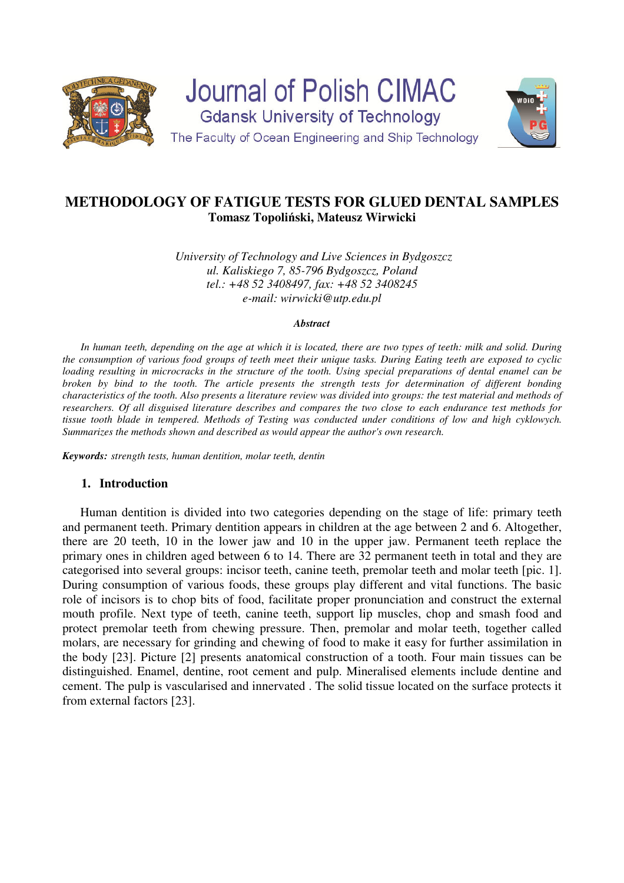

**Journal of Polish CIMAC Gdansk University of Technology** The Faculty of Ocean Engineering and Ship Technology



# **METHODOLOGY OF FATIGUE TESTS FOR GLUED DENTAL SAMPLES Tomasz Topoliński, Mateusz Wirwicki**

*University of Technology and Live Sciences in Bydgoszcz ul. Kaliskiego 7, 85-796 Bydgoszcz, Poland tel.: +48 52 3408497, fax: +48 52 3408245 e-mail: wirwicki@utp.edu.pl* 

#### *Abstract*

In human teeth, depending on the age at which it is located, there are two types of teeth: milk and solid. During *the consumption of various food groups of teeth meet their unique tasks. During Eating teeth are exposed to cyclic loading resulting in microcracks in the structure of the tooth. Using special preparations of dental enamel can be broken by bind to the tooth. The article presents the strength tests for determination of different bonding characteristics of the tooth. Also presents a literature review was divided into groups: the test material and methods of researchers. Of all disguised literature describes and compares the two close to each endurance test methods for tissue tooth blade in tempered. Methods of Testing was conducted under conditions of low and high cyklowych. Summarizes the methods shown and described as would appear the author's own research.* 

*Keywords: strength tests, human dentition, molar teeth, dentin*

### **1. Introduction**

Human dentition is divided into two categories depending on the stage of life: primary teeth and permanent teeth. Primary dentition appears in children at the age between 2 and 6. Altogether, there are 20 teeth, 10 in the lower jaw and 10 in the upper jaw. Permanent teeth replace the primary ones in children aged between 6 to 14. There are 32 permanent teeth in total and they are categorised into several groups: incisor teeth, canine teeth, premolar teeth and molar teeth [pic. 1]. During consumption of various foods, these groups play different and vital functions. The basic role of incisors is to chop bits of food, facilitate proper pronunciation and construct the external mouth profile. Next type of teeth, canine teeth, support lip muscles, chop and smash food and protect premolar teeth from chewing pressure. Then, premolar and molar teeth, together called molars, are necessary for grinding and chewing of food to make it easy for further assimilation in the body [23]. Picture [2] presents anatomical construction of a tooth. Four main tissues can be distinguished. Enamel, dentine, root cement and pulp. Mineralised elements include dentine and cement. The pulp is vascularised and innervated . The solid tissue located on the surface protects it from external factors [23].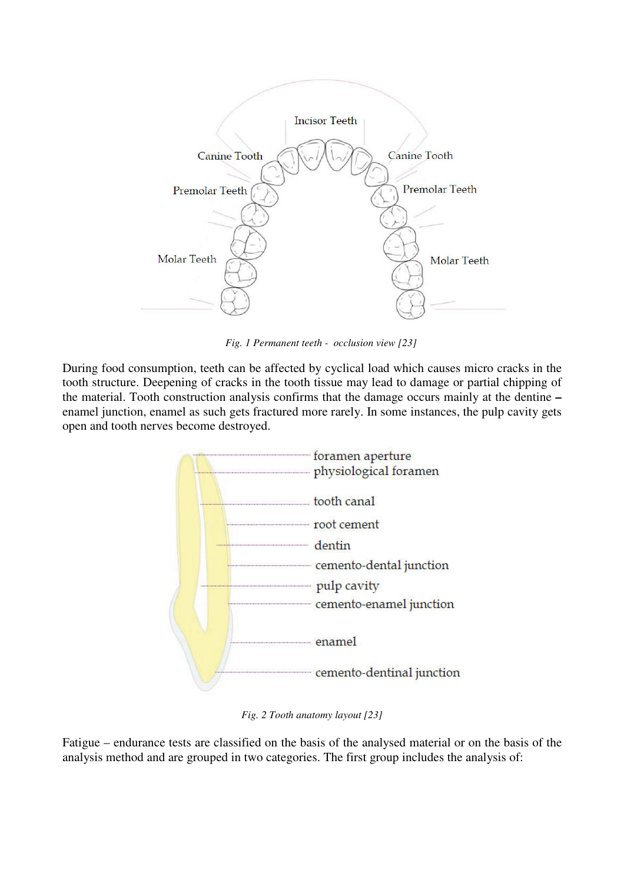

*Fig. 1 Permanent teeth - occlusion view [23]* 

During food consumption, teeth can be affected by cyclical load which causes micro cracks in the tooth structure. Deepening of cracks in the tooth tissue may lead to damage or partial chipping of the material. Tooth construction analysis confirms that the damage occurs mainly at the dentine **–**  enamel junction, enamel as such gets fractured more rarely. In some instances, the pulp cavity gets open and tooth nerves become destroyed.



*Fig. 2 Tooth anatomy layout [23]* 

Fatigue – endurance tests are classified on the basis of the analysed material or on the basis of the analysis method and are grouped in two categories. The first group includes the analysis of: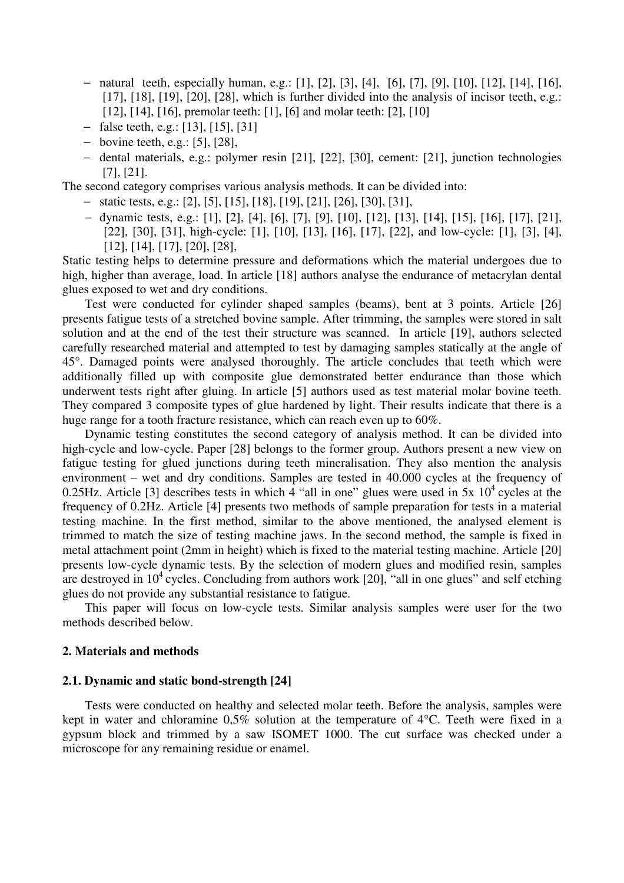- − natural teeth, especially human, e.g.: [1], [2], [3], [4], [6], [7], [9], [10], [12], [14], [16], [17], [18], [19], [20], [28], which is further divided into the analysis of incisor teeth, e.g.: [12], [14], [16], premolar teeth: [1], [6] and molar teeth: [2], [10]
- − false teeth, e.g.: [13], [15], [31]
- − bovine teeth, e.g.: [5], [28],
- − dental materials, e.g.: polymer resin [21], [22], [30], cement: [21], junction technologies [7], [21].

The second category comprises various analysis methods. It can be divided into:

- − static tests, e.g.: [2], [5], [15], [18], [19], [21], [26], [30], [31],
- − dynamic tests, e.g.: [1], [2], [4], [6], [7], [9], [10], [12], [13], [14], [15], [16], [17], [21], [22], [30], [31], high-cycle: [1], [10], [13], [16], [17], [22], and low-cycle: [1], [3], [4], [12], [14], [17], [20], [28],

Static testing helps to determine pressure and deformations which the material undergoes due to high, higher than average, load. In article [18] authors analyse the endurance of metacrylan dental glues exposed to wet and dry conditions.

Test were conducted for cylinder shaped samples (beams), bent at 3 points. Article [26] presents fatigue tests of a stretched bovine sample. After trimming, the samples were stored in salt solution and at the end of the test their structure was scanned. In article [19], authors selected carefully researched material and attempted to test by damaging samples statically at the angle of 45°. Damaged points were analysed thoroughly. The article concludes that teeth which were additionally filled up with composite glue demonstrated better endurance than those which underwent tests right after gluing. In article [5] authors used as test material molar bovine teeth. They compared 3 composite types of glue hardened by light. Their results indicate that there is a huge range for a tooth fracture resistance, which can reach even up to 60%.

Dynamic testing constitutes the second category of analysis method. It can be divided into high-cycle and low-cycle. Paper [28] belongs to the former group. Authors present a new view on fatigue testing for glued junctions during teeth mineralisation. They also mention the analysis environment – wet and dry conditions. Samples are tested in 40.000 cycles at the frequency of 0.25Hz. Article [3] describes tests in which 4 "all in one" glues were used in 5x  $10^4$  cycles at the frequency of 0.2Hz. Article [4] presents two methods of sample preparation for tests in a material testing machine. In the first method, similar to the above mentioned, the analysed element is trimmed to match the size of testing machine jaws. In the second method, the sample is fixed in metal attachment point (2mm in height) which is fixed to the material testing machine. Article [20] presents low-cycle dynamic tests. By the selection of modern glues and modified resin, samples are destroyed in  $10^4$  cycles. Concluding from authors work [20], "all in one glues" and self etching glues do not provide any substantial resistance to fatigue.

This paper will focus on low-cycle tests. Similar analysis samples were user for the two methods described below.

#### **2. Materials and methods**

### **2.1. Dynamic and static bond-strength [24]**

Tests were conducted on healthy and selected molar teeth. Before the analysis, samples were kept in water and chloramine 0,5% solution at the temperature of 4°C. Teeth were fixed in a gypsum block and trimmed by a saw ISOMET 1000. The cut surface was checked under a microscope for any remaining residue or enamel.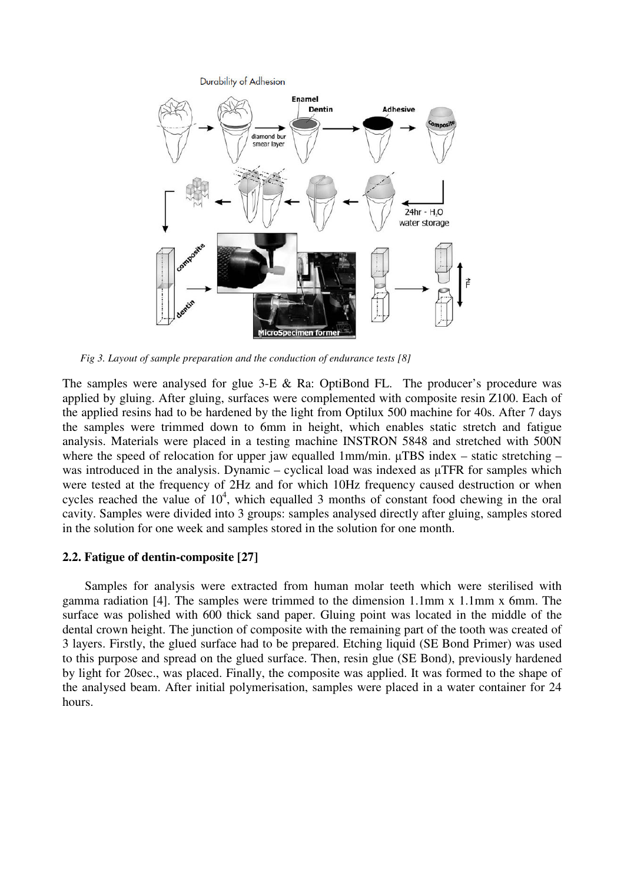Durability of Adhesion



*Fig 3. Layout of sample preparation and the conduction of endurance tests [8]* 

The samples were analysed for glue 3-E & Ra: OptiBond FL. The producer's procedure was applied by gluing. After gluing, surfaces were complemented with composite resin Z100. Each of the applied resins had to be hardened by the light from Optilux 500 machine for 40s. After 7 days the samples were trimmed down to 6mm in height, which enables static stretch and fatigue analysis. Materials were placed in a testing machine INSTRON 5848 and stretched with 500N where the speed of relocation for upper jaw equalled 1mm/min.  $\mu$ TBS index – static stretching – was introduced in the analysis. Dynamic – cyclical load was indexed as  $\mu$ TFR for samples which were tested at the frequency of 2Hz and for which 10Hz frequency caused destruction or when cycles reached the value of  $10<sup>4</sup>$ , which equalled 3 months of constant food chewing in the oral cavity. Samples were divided into 3 groups: samples analysed directly after gluing, samples stored in the solution for one week and samples stored in the solution for one month.

### **2.2. Fatigue of dentin-composite [27]**

Samples for analysis were extracted from human molar teeth which were sterilised with gamma radiation [4]. The samples were trimmed to the dimension 1.1mm x 1.1mm x 6mm. The surface was polished with 600 thick sand paper. Gluing point was located in the middle of the dental crown height. The junction of composite with the remaining part of the tooth was created of 3 layers. Firstly, the glued surface had to be prepared. Etching liquid (SE Bond Primer) was used to this purpose and spread on the glued surface. Then, resin glue (SE Bond), previously hardened by light for 20sec., was placed. Finally, the composite was applied. It was formed to the shape of the analysed beam. After initial polymerisation, samples were placed in a water container for 24 hours.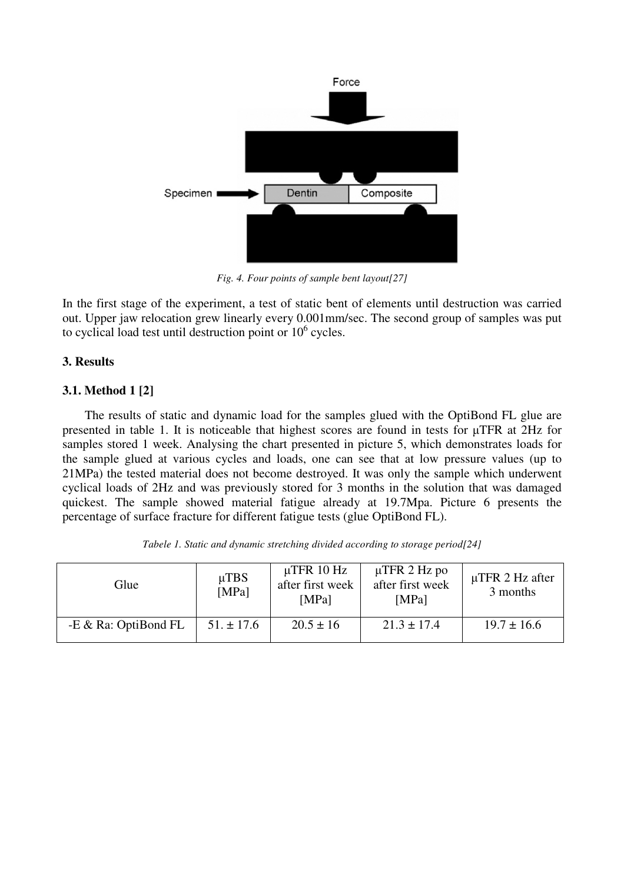

*Fig. 4. Four points of sample bent layout[27]* 

In the first stage of the experiment, a test of static bent of elements until destruction was carried out. Upper jaw relocation grew linearly every 0.001mm/sec. The second group of samples was put to cyclical load test until destruction point or  $10^6$  cycles.

## **3. Results**

## **3.1. Method 1 [2]**

The results of static and dynamic load for the samples glued with the OptiBond FL glue are presented in table 1. It is noticeable that highest scores are found in tests for µTFR at 2Hz for samples stored 1 week. Analysing the chart presented in picture 5, which demonstrates loads for the sample glued at various cycles and loads, one can see that at low pressure values (up to 21MPa) the tested material does not become destroyed. It was only the sample which underwent cyclical loads of 2Hz and was previously stored for 3 months in the solution that was damaged quickest. The sample showed material fatigue already at 19.7Mpa. Picture 6 presents the percentage of surface fracture for different fatigue tests (glue OptiBond FL).

| Glue                 | $\mu$ TBS<br>[MPa] | $\mu$ TFR 10 Hz<br>after first week<br>[MPa] | $\mu$ TFR 2 Hz po<br>after first week<br>[MPa] | $\mu$ TFR 2 Hz after<br>3 months |
|----------------------|--------------------|----------------------------------------------|------------------------------------------------|----------------------------------|
| -E & Ra: OptiBond FL | $51. \pm 17.6$     | $20.5 \pm 16$                                | $21.3 \pm 17.4$                                | $19.7 \pm 16.6$                  |

*Tabele 1. Static and dynamic stretching divided according to storage period[24]*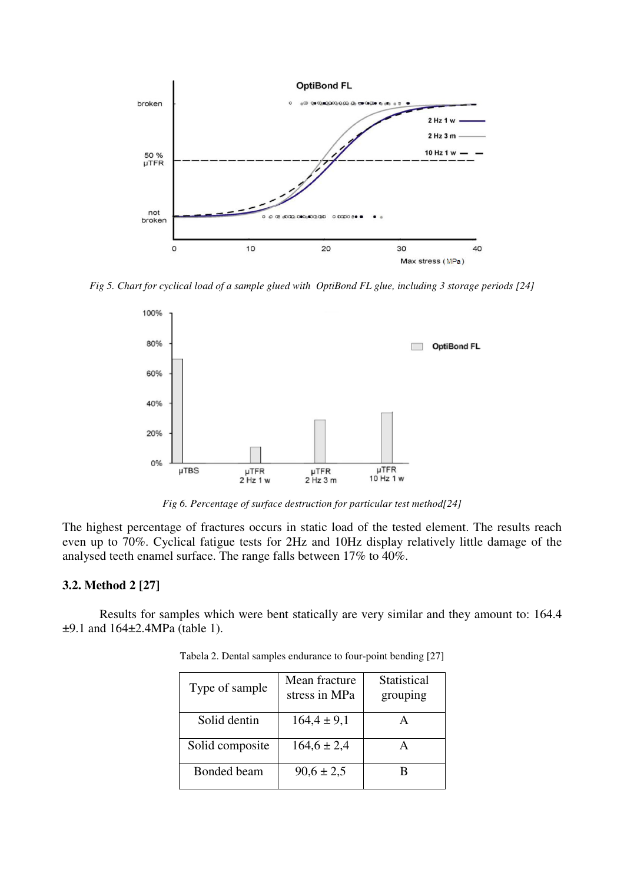

*Fig 5. Chart for cyclical load of a sample glued with OptiBond FL glue, including 3 storage periods [24]* 



*Fig 6. Percentage of surface destruction for particular test method[24]* 

The highest percentage of fractures occurs in static load of the tested element. The results reach even up to 70%. Cyclical fatigue tests for 2Hz and 10Hz display relatively little damage of the analysed teeth enamel surface. The range falls between 17% to 40%.

### **3.2. Method 2 [27]**

Results for samples which were bent statically are very similar and they amount to: 164.4 ±9.1 and 164±2.4MPa (table 1).

| Type of sample  | Mean fracture<br>stress in MPa | Statistical<br>grouping |
|-----------------|--------------------------------|-------------------------|
| Solid dentin    | $164.4 \pm 9.1$                |                         |
| Solid composite | $164, 6 \pm 2, 4$              |                         |
| Bonded beam     | $90.6 \pm 2.5$                 |                         |

Tabela 2. Dental samples endurance to four-point bending [27]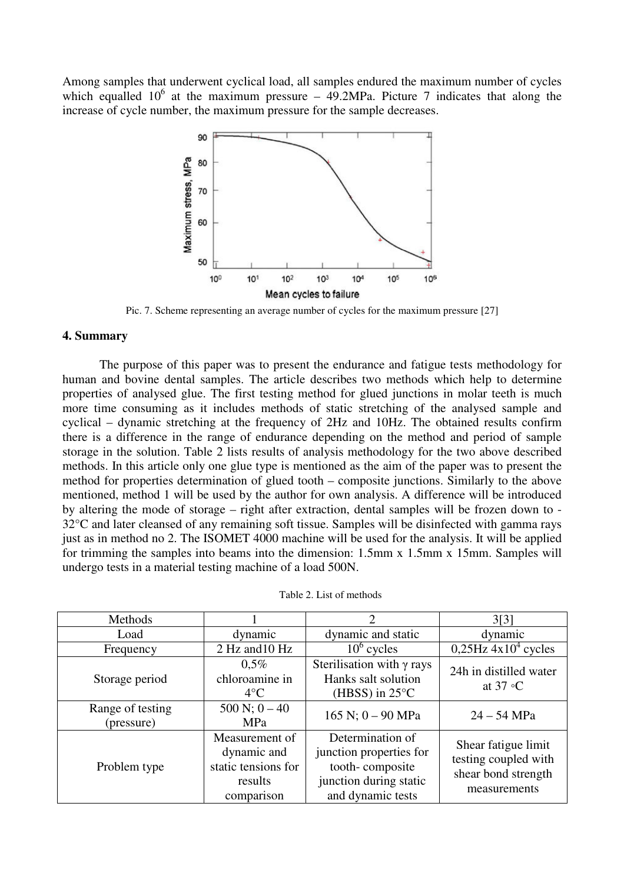Among samples that underwent cyclical load, all samples endured the maximum number of cycles which equalled  $10^6$  at the maximum pressure – 49.2MPa. Picture 7 indicates that along the increase of cycle number, the maximum pressure for the sample decreases.



Pic. 7. Scheme representing an average number of cycles for the maximum pressure [27]

### **4. Summary**

The purpose of this paper was to present the endurance and fatigue tests methodology for human and bovine dental samples. The article describes two methods which help to determine properties of analysed glue. The first testing method for glued junctions in molar teeth is much more time consuming as it includes methods of static stretching of the analysed sample and cyclical – dynamic stretching at the frequency of 2Hz and 10Hz. The obtained results confirm there is a difference in the range of endurance depending on the method and period of sample storage in the solution. Table 2 lists results of analysis methodology for the two above described methods. In this article only one glue type is mentioned as the aim of the paper was to present the method for properties determination of glued tooth – composite junctions. Similarly to the above mentioned, method 1 will be used by the author for own analysis. A difference will be introduced by altering the mode of storage – right after extraction, dental samples will be frozen down to - 32°C and later cleansed of any remaining soft tissue. Samples will be disinfected with gamma rays just as in method no 2. The ISOMET 4000 machine will be used for the analysis. It will be applied for trimming the samples into beams into the dimension: 1.5mm x 1.5mm x 15mm. Samples will undergo tests in a material testing machine of a load 500N.

| Methods                        |                                                                               | $\mathcal{D}_{\mathcal{L}}$                                                                                   | 3[3]                                                                               |
|--------------------------------|-------------------------------------------------------------------------------|---------------------------------------------------------------------------------------------------------------|------------------------------------------------------------------------------------|
| Load                           | dynamic                                                                       | dynamic and static                                                                                            | dynamic                                                                            |
| Frequency                      | 2 Hz and 10 Hz                                                                | $10^6$ cycles                                                                                                 | $0,25$ Hz $4x104$ cycles                                                           |
| Storage period                 | $0.5\%$<br>chloroamine in<br>$4^{\circ}$ C                                    | Sterilisation with $\gamma$ rays<br>Hanks salt solution<br>(HBSS) in $25^{\circ}$ C                           | 24h in distilled water<br>at $37 \text{ }^{\circ}C$                                |
| Range of testing<br>(pressure) | $500 N; 0 - 40$<br><b>MPa</b>                                                 | 165 N; $0 - 90$ MPa                                                                                           | $24 - 54$ MPa                                                                      |
| Problem type                   | Measurement of<br>dynamic and<br>static tensions for<br>results<br>comparison | Determination of<br>junction properties for<br>tooth-composite<br>junction during static<br>and dynamic tests | Shear fatigue limit<br>testing coupled with<br>shear bond strength<br>measurements |

Table 2. List of methods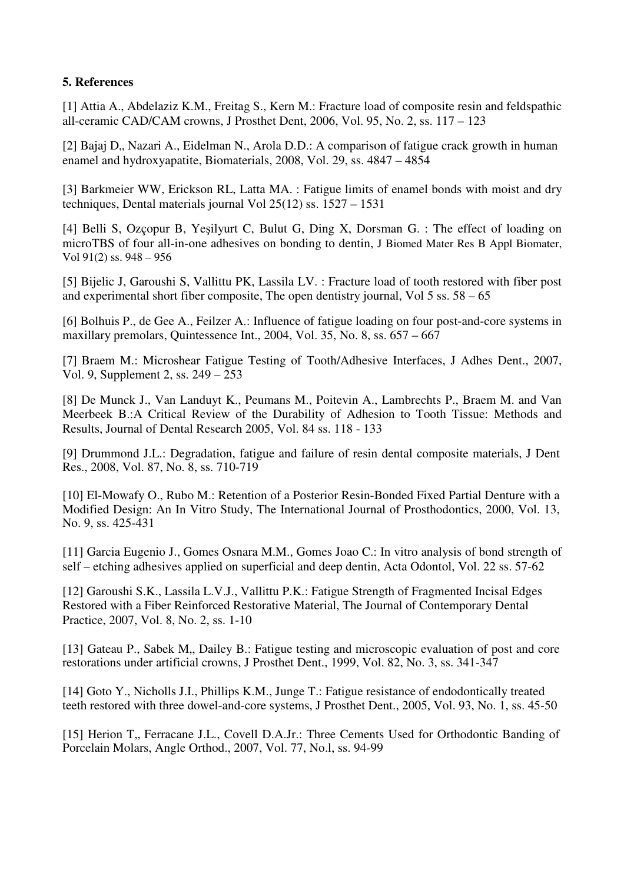## **5. References**

[1] Attia A., Abdelaziz K.M., Freitag S., Kern M.: Fracture load of composite resin and feldspathic all-ceramic CAD/CAM crowns, J Prosthet Dent, 2006, Vol. 95, No. 2, ss. 117 – 123

[2] Bajaj D., Nazari A., Eidelman N., Arola D.D.: A comparison of fatigue crack growth in human enamel and hydroxyapatite, Biomaterials, 2008, Vol. 29, ss. 4847 – 4854

[3] Barkmeier WW, Erickson RL, Latta MA. : Fatigue limits of enamel bonds with moist and dry techniques, Dental materials journal Vol 25(12) ss. 1527 – 1531

[4] Belli S, Ozçopur B, Yeşilyurt C, Bulut G, Ding X, Dorsman G. : The effect of loading on microTBS of four all-in-one adhesives on bonding to dentin, J Biomed Mater Res B Appl Biomater, Vol 91(2) ss. 948 – 956

[5] Bijelic J, Garoushi S, Vallittu PK, Lassila LV. : Fracture load of tooth restored with fiber post and experimental short fiber composite, The open dentistry journal, Vol 5 ss. 58 – 65

[6] Bolhuis P., de Gee A., Feilzer A.: Influence of fatigue loading on four post-and-core systems in maxillary premolars, Quintessence Int., 2004, Vol. 35, No. 8, ss. 657 – 667

[7] Braem M.: Microshear Fatigue Testing of Tooth/Adhesive Interfaces, J Adhes Dent., 2007, Vol. 9, Supplement 2, ss. 249 – 253

[8] De Munck J., Van Landuyt K., Peumans M., Poitevin A., Lambrechts P., Braem M. and Van Meerbeek B.:A Critical Review of the Durability of Adhesion to Tooth Tissue: Methods and Results, Journal of Dental Research 2005, Vol. 84 ss. 118 - 133

[9] Drummond J.L.: Degradation, fatigue and failure of resin dental composite materials, J Dent Res., 2008, Vol. 87, No. 8, ss. 710-719

[10] El-Mowafy O., Rubo M.: Retention of a Posterior Resin-Bonded Fixed Partial Denture with a Modified Design: An In Vitro Study, The International Journal of Prosthodontics, 2000, Vol. 13, No. 9, ss. 425-431

[11] Garcia Eugenio J., Gomes Osnara M.M., Gomes Joao C.: In vitro analysis of bond strength of self – etching adhesives applied on superficial and deep dentin, Acta Odontol, Vol. 22 ss. 57-62

[12] Garoushi S.K., Lassila L.V.J., Vallittu P.K.: Fatigue Strength of Fragmented Incisal Edges Restored with a Fiber Reinforced Restorative Material, The Journal of Contemporary Dental Practice, 2007, Vol. 8, No. 2, ss. 1-10

[13] Gateau P., Sabek M., Dailey B.: Fatigue testing and microscopic evaluation of post and core restorations under artificial crowns, J Prosthet Dent., 1999, Vol. 82, No. 3, ss. 341-347

[14] Goto Y., Nicholls J.I., Phillips K.M., Junge T.: Fatigue resistance of endodontically treated teeth restored with three dowel-and-core systems, J Prosthet Dent., 2005, Vol. 93, No. 1, ss. 45-50

[15] Herion T., Ferracane J.L., Covell D.A.Jr.: Three Cements Used for Orthodontic Banding of Porcelain Molars, Angle Orthod., 2007, Vol. 77, No.l, ss. 94-99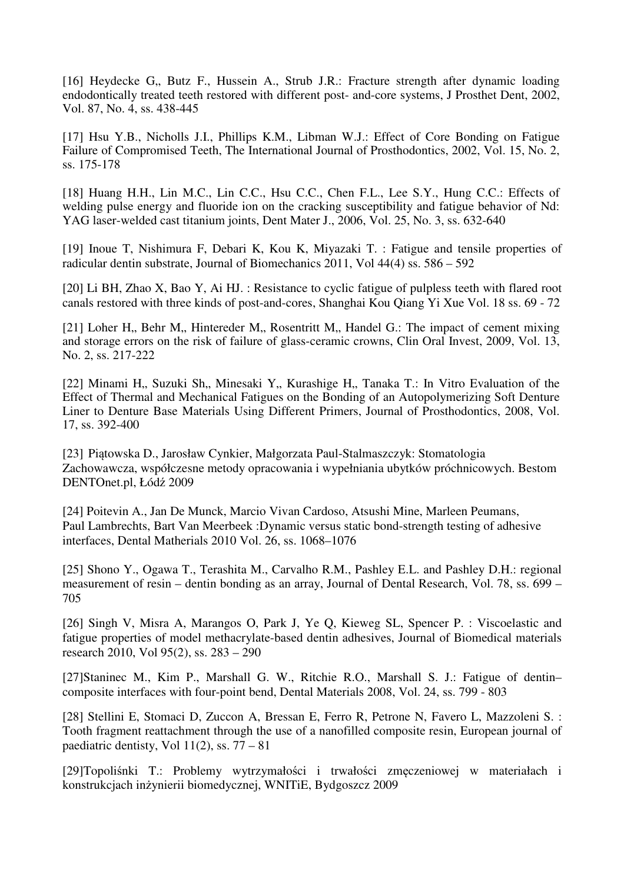[16] Heydecke G,, Butz F., Hussein A., Strub J.R.: Fracture strength after dynamic loading endodontically treated teeth restored with different post- and-core systems, J Prosthet Dent, 2002, Vol. 87, No. 4, ss. 438-445

[17] Hsu Y.B., Nicholls J.I., Phillips K.M., Libman W.J.: Effect of Core Bonding on Fatigue Failure of Compromised Teeth, The International Journal of Prosthodontics, 2002, Vol. 15, No. 2, ss. 175-178

[18] Huang H.H., Lin M.C., Lin C.C., Hsu C.C., Chen F.L., Lee S.Y., Hung C.C.: Effects of welding pulse energy and fluoride ion on the cracking susceptibility and fatigue behavior of Nd: YAG laser-welded cast titanium joints, Dent Mater J., 2006, Vol. 25, No. 3, ss. 632-640

[19] Inoue T, Nishimura F, Debari K, Kou K, Miyazaki T. : Fatigue and tensile properties of radicular dentin substrate, Journal of Biomechanics 2011, Vol 44(4) ss. 586 – 592

[20] Li BH, Zhao X, Bao Y, Ai HJ. : Resistance to cyclic fatigue of pulpless teeth with flared root canals restored with three kinds of post-and-cores, Shanghai Kou Qiang Yi Xue Vol. 18 ss. 69 - 72

[21] Loher H., Behr M., Hintereder M., Rosentritt M., Handel G.: The impact of cement mixing and storage errors on the risk of failure of glass-ceramic crowns, Clin Oral Invest, 2009, Vol. 13, No. 2, ss. 217-222

[22] Minami H,, Suzuki Sh,, Minesaki Y,, Kurashige H,, Tanaka T.: In Vitro Evaluation of the Effect of Thermal and Mechanical Fatigues on the Bonding of an Autopolymerizing Soft Denture Liner to Denture Base Materials Using Different Primers, Journal of Prosthodontics, 2008, Vol. 17, ss. 392-400

[23] Piątowska D., Jarosław Cynkier, Małgorzata Paul-Stalmaszczyk: Stomatologia Zachowawcza, współczesne metody opracowania i wypełniania ubytków próchnicowych. Bestom DENTOnet.pl, Łódź 2009

[24] Poitevin A., Jan De Munck, Marcio Vivan Cardoso, Atsushi Mine, Marleen Peumans, Paul Lambrechts, Bart Van Meerbeek :Dynamic versus static bond-strength testing of adhesive interfaces, Dental Matherials 2010 Vol. 26, ss. 1068–1076

[25] Shono Y., Ogawa T., Terashita M., Carvalho R.M., Pashley E.L. and Pashley D.H.: regional measurement of resin – dentin bonding as an array, Journal of Dental Research, Vol. 78, ss. 699 – 705

[26] Singh V, Misra A, Marangos O, Park J, Ye Q, Kieweg SL, Spencer P. : Viscoelastic and fatigue properties of model methacrylate-based dentin adhesives, Journal of Biomedical materials research 2010, Vol 95(2), ss. 283 – 290

[27]Staninec M., Kim P., Marshall G. W., Ritchie R.O., Marshall S. J.: Fatigue of dentin– composite interfaces with four-point bend, Dental Materials 2008, Vol. 24, ss. 799 - 803

[28] Stellini E, Stomaci D, Zuccon A, Bressan E, Ferro R, Petrone N, Favero L, Mazzoleni S. : Tooth fragment reattachment through the use of a nanofilled composite resin, European journal of paediatric dentisty, Vol  $11(2)$ , ss.  $77 - 81$ 

[29]Topoliśnki T.: Problemy wytrzymałości i trwałości zmęczeniowej w materiałach i konstrukcjach inżynierii biomedycznej, WNITiE, Bydgoszcz 2009